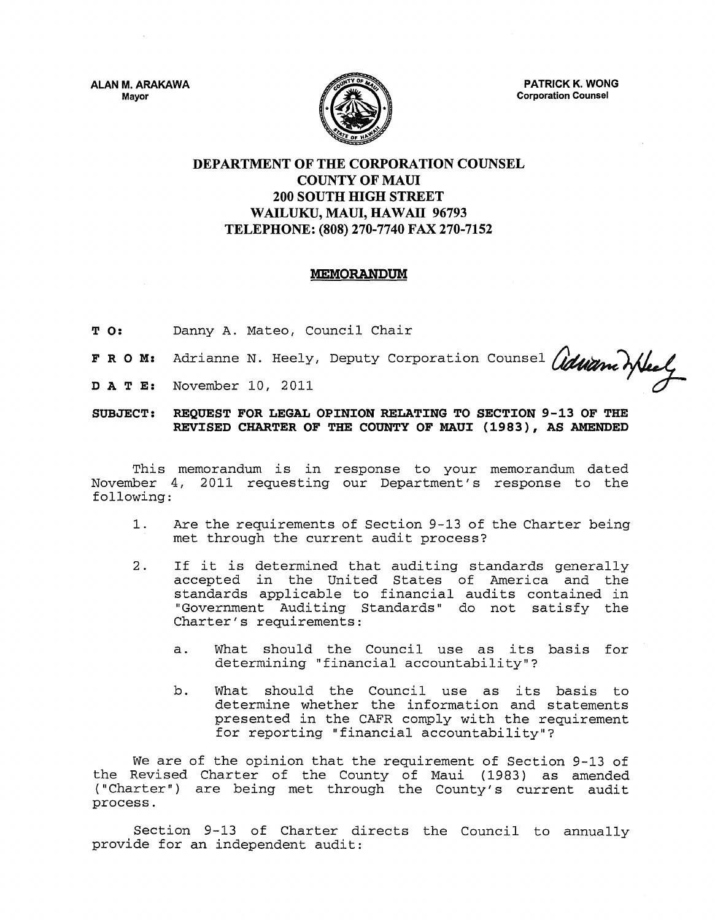**ALAN M. ARAKAWA Mayor** 



**PATRICK K. WONG Corporation Counsel** 

## **DEPARTMENT OF THE CORPORATION COUNSEL COUNTY OF MAID 200 SOUTH HIGH STREET**  WAILUKU, MAUI, HAWAII 96793 **TELEPHONE: (808) 270-7740 FAX 270-7152**

#### **MEMORANDUM**

- T **0:**  Danny A. Mateo, Council Chair
- F R 0 **M:**  Adrianne N. Heely, Deputy Corporation Counsel *(iduane* mulel
- **DA** T **E:**  November 10, 2011

#### **SUBJECT: REQUEST FOR LEGAL OPINION RELATING TO SECTION 9-13 OF THE REVISED CHARTER OF THE COUNTY OF MAUl (1983), AS AMENDED**

This memorandum is in response to your memorandum dated November 4, 2011 requesting our Department's response to the following:

- 1. Are the requirements of Section 9-13 of the Charter being met through the current audit process?
- 2. If it is determined that auditing standards generally accepted in the United States of America and the standards applicable to financial audits contained in "Government Auditing Standards" do not satisfy the Charter's requirements:
	- a. What should the Council use as its basis for determining "financial accountability"?
	- b. What should the Council use as its basis to determine whether the information and statements presented in the CAFR comply with the requirement for reporting "financial accountability"?

We are of the opinion that the requirement of Section 9-13 of the Revised Charter of the County of Maui (1983) as amended ("Charter") are being met through the County's current audit process.

Section 9-13 of Charter directs the Council to annually provide for an independent audit: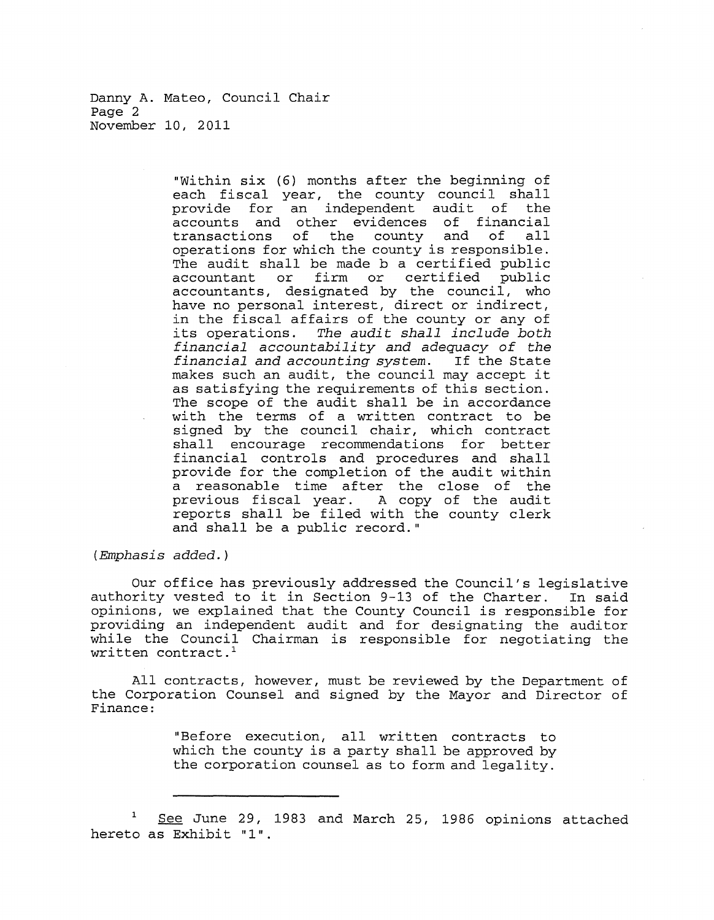Danny A. Mateo, Council Chair Page 2 November 10, 2011

> "Within six (6) months after the beginning of each fiscal year, the county council shall<br>provide for an independent audit of the provide for an independent audit of accounts and other evidences of financial transactions of the county and of all transactions of the county and of all<br>operations for which the county is responsible. The audit shall be made b a certified public<br>accountant or firm or certified public or firm or certified public accountants, designated by the council, who have no personal interest, direct or indirect, in the fiscal affairs of the county or any of its operations. The audit shall include both financial accountability and adequacy of the<br>financial and accounting system. If the State financial and accounting system. makes such an audit, the council may accept it as satisfying the requirements of this section. The scope of the audit shall be in accordance with the terms of a written contract to be signed by the council chair, which contract shall encourage recommendations for better financial controls and procedures and shall provide for the completion of the audit within a reasonable time after the close of the previous fiscal year. A copy of the audit reports shall be filed with the county clerk and shall be a public record."

(Emphasis added.)

Our office has previously addressed the Council's legislative<br>rity vested to it in Section 9-13 of the Charter. In said authority vested to it in Section 9-13 of the Charter. opinions, we explained that the County Council is responsible for providing an independent audit and for designating the auditor while the Council Chairman is responsible for negotiating the written contract. $<sup>1</sup>$ </sup>

All contracts, however, must be reviewed by the Department of the Corporation Counsel and signed by the Mayor and Director of Finance:

> "Before execution, all written contracts to which the county is a party shall be approved by the corporation counsel as to form and legality.

See June 29, 1983 and March 25, 1986 opinions attached hereto as Exhibit "1".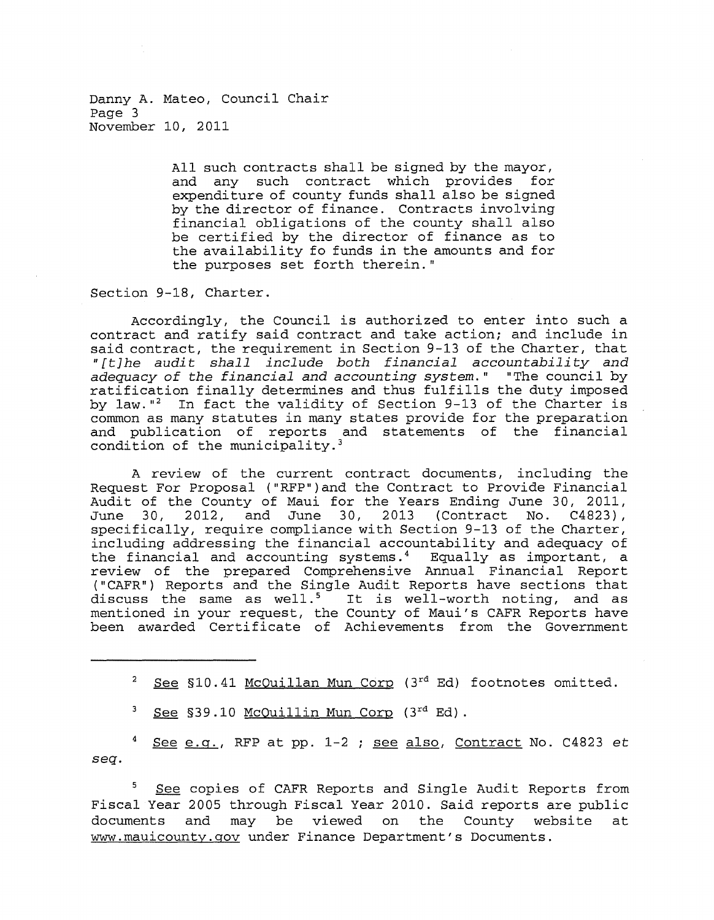Danny A. Mateo, Council Chair Page 3 November 10, 2011

> All such contracts shall be signed by the mayor, and any such contract which provides for expenditure of county funds shall also be signed by the director of finance. Contracts involving financial obligations of the county shall also be certified by the director of finance as to the availability fo funds in the amounts and for the purposes set forth therein."

Section 9-18, Charter.

Accordingly, the Council is authorized to enter into such a contract and ratify said contract and take action; and include in said contract, the requirement in Section 9-13 of the Charter, that "[t]he audit shall include both financial accountability and adequacy of the financial and accounting system." "The council by ratification finally determines and thus fulfills the duty imposed by law. $12$  In fact the validity of Section 9-13 of the Charter is common as many statutes in many states provide for the preparation and publication of reports and statements of the financial condition of the municipality.<sup>3</sup>

A review of the current contract documents, including the Request For Proposal ("RFP")and the Contract to Provide Financial Audit of the County of Maui for the Years Ending June 30, 2011,<br>June 30, 2012, and June 30, 2013 (Contract No. C4823), June 30, 2012,  $\overline{a}$  and June 30, 2013 specifically, require compliance with Section 9-13 of the Charter, including addressing the financial accountability and adequacy of the financial and accounting systems.<sup>4</sup> Equally as important, a review of the prepared Comprehensive Annual Financial Report ("CAFR") Reports and the Single Audit Reports have sections that discuss the same as well.<sup>5</sup> It is well-worth noting, and as mentioned in your request, the County of Maui's CAFR Reports have been awarded Certificate of Achievements from the Government

See §10.41 McQuillan Mun Corp (3rd Ed) footnotes omitted.

See §39.10 McQuillin Mun Corp (3rd Ed).

See  $e.g.,$  RFP at pp. 1-2 ; see also, Contract No. C4823 et *seq.* 

See copies of CAFR Reports and Single Audit Reports from Fiscal Year 2005 through Fiscal Year 2010. Said reports are public documents and may be viewed on the County website at www.mauicounty.gov under Finance Department's Documents.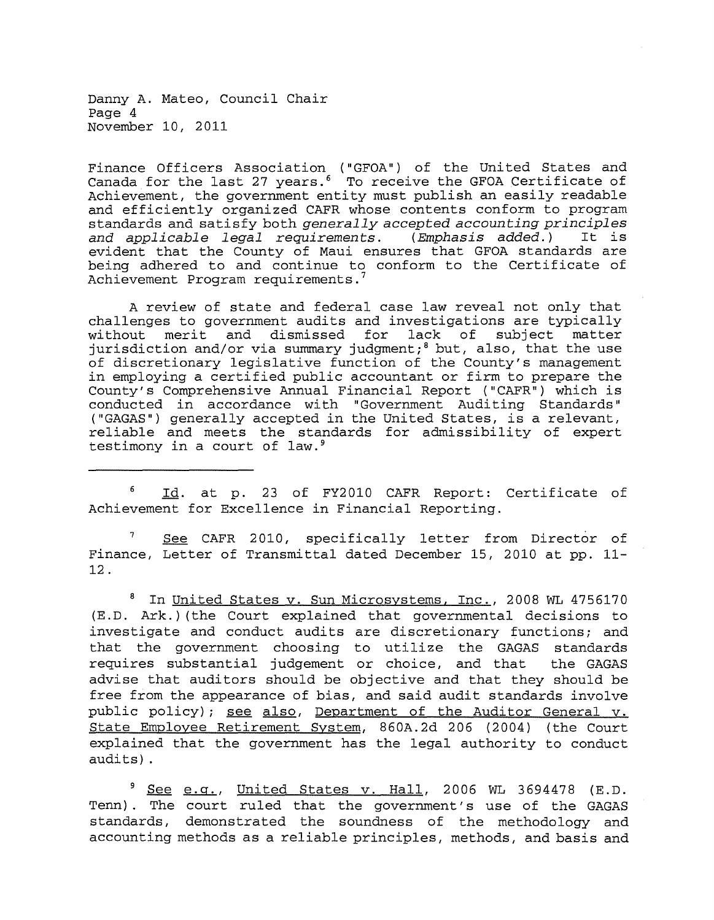Danny A. Mateo, Council Chair Page 4 November 10, 2011

Finance Officers Association ("GFOA") of the United States and Canada for the last 27 years. 6 To receive the GFOA Certificate of Achievement, the government entity must publish an easily readable and efficiently organized CAFR whose contents conform to program standards and satisfy both *generally* accepted *accounting principles*  and applicable legal requirements. evident that the County of Maui ensures that GFOA standards are being adhered to and continue to conform to the Certificate of Achievement Program requirements.

A review of state and federal case law reveal not only that challenges to government audits and investigations are typically<br>without merit and dismissed for lack of subject matter without merit and dismissed for jurisdiction and/or via summary judgment;<sup>8</sup> but, also, that the use of discretionary legislative function of the County's management in employing a certified public accountant or firm to prepare the County's Comprehensive Annual Financial Report ("CAFR") which is conducted in accordance with "Government Auditing Standards" ("GAGAS") generally accepted in the United States, is a relevant, reliable and meets the standards for admissibility of expert testimony in a court of law.<sup>9</sup>

6 Id. at p. 23 of FY2010 CAFR Report: Certificate of Achievement for Excellence in Financial Reporting.

7 Finance, Letter of Transmittal dated December 15, 2010 at pp. 11- 12. See CAFR 2010, specifically letter from Director of

8 In United States v. Sun Microsystems, Inc., 2008 WL 4756170 (E.D. Ark.) (the Court explained that governmental decisions to investigate and conduct audits are discretionary functions; and that the government choosing to utilize the GAGAS standards requires substantial judgement or choice, and that the GAGAS advise that auditors should be objective and that they should be free from the appearance of bias, and said audit standards involve public policy); see also, Department of the Auditor General v. State Employee Retirement System, 860A.2d 206 (2004) (the Court explained that the government has the legal authority to conduct audits) .

 $9$  See e.g., United States v. Hall, 2006 WL 3694478 (E.D. Tenn). The court ruled that the government's use of the GAGAS standards, demonstrated the soundness of the methodology and accounting methods as a reliable principles, methods, and basis and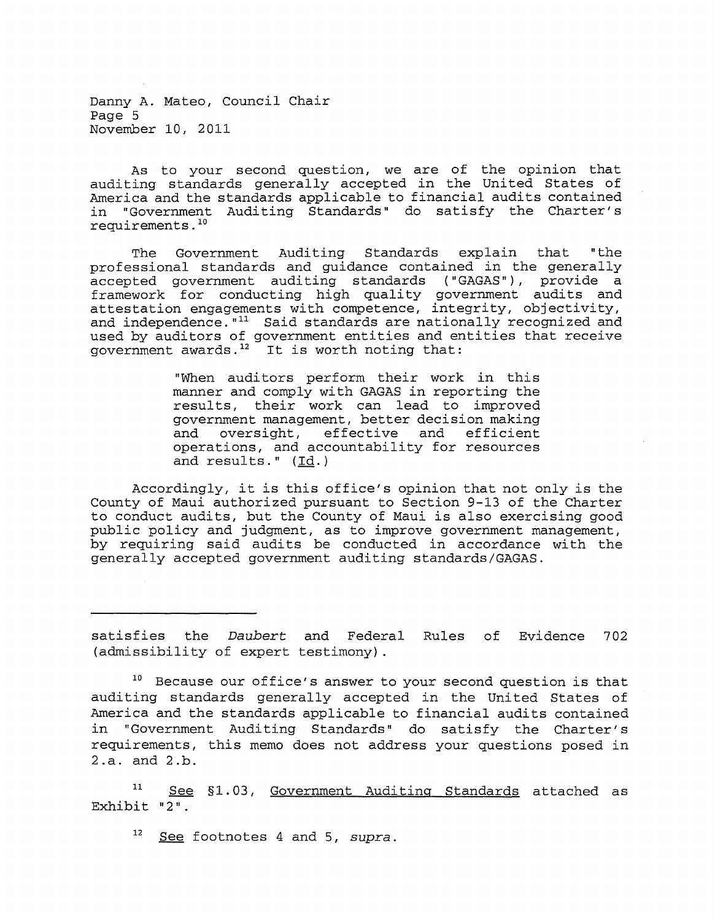Danny A. Mateo, Council Chair Page 5 November 10, 2011

As to your second question, we are of the opinion that auditing standards generally accepted in the United States of America and the standards applicable to financial audits contained in "Government Auditing Standards" do satisfy the Charter's requirements .10

The Government Auditing Standards explain that "the professional standards and guidance contained in the generally accepted government auditing standards ("GAGAS"), provide a framework for conducting high quality government audits and attestation engagements with competence, integrity, objectivity, and independence.  $"11$  Said standards are nationally recognized and used by auditors of government entities and entities that receive government awards. $12$  It is worth noting that:

> "When auditors perform their work in this manner and comply with GAGAS in reporting the results, their work can lead to improved government management, better decision making government management, because accrition maning and oversight, effective and efficient<br>operations, and accountability for resources and results." (Id.)

Accordingly, it is this office's opinion that not only is the County of Maui authorized pursuant to Section 9-13 of the Charter to conduct audits, but the County of Maui is also exercising good public policy and judgment, as to improve government management, by requiring said audits be conducted in accordance with the generally accepted government auditing standards/GAGAS.

satisfies the *Daubert* and Federal Rules of Evidence 702 (admissibility of expert testimony).

<sup>10</sup> Because our office's answer to your second question is that auditing standards generally accepted in the United States of America and the standards applicable to financial audits contained in "Government Auditing Standards" do satisfy the Charter's requirements, this memo does not address your questions posed in 2.a. and 2.b.

11 Exhibit "2". See §1.03, Government Auditing Standards attached as

12 See footnotes 4 and 5, *supra.*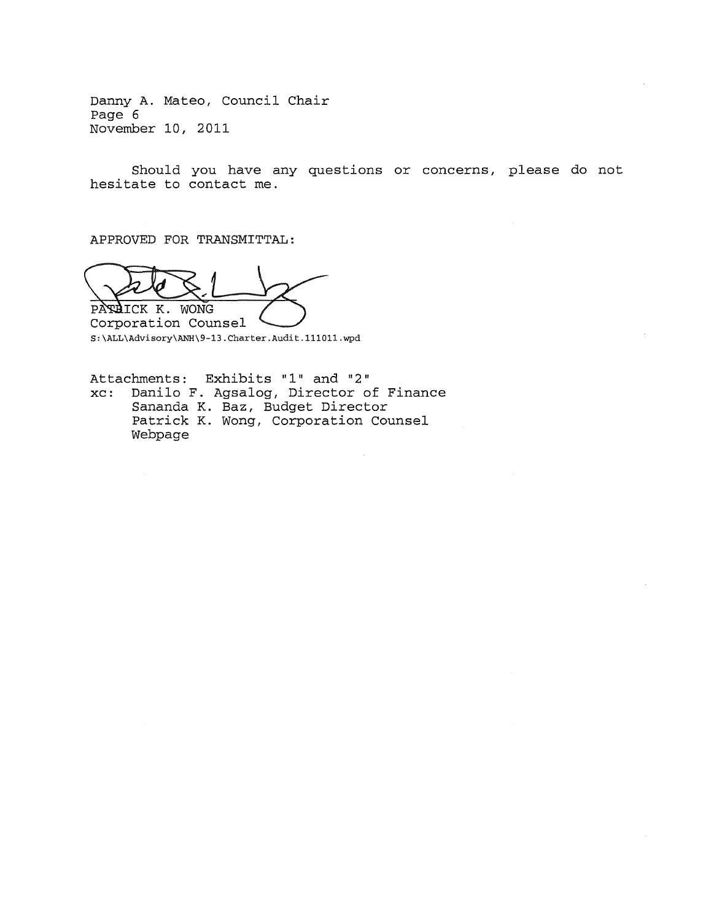Danny A. Mateo, Council Chair Page 6 November 10, 2011

Should you have any questions or concerns, please do not hesitate to contact me.

APPROVED FOR TRANSMITTAL:

PARAICK K. WONG

Corporation Counsel S:\ALL\Advisory\ANH\9-13.Charter.Audit.lll0ll.wpd

Attachments: Exhibits "1" and "2" xc: Danilo F. Agsalog, Director of Finance Sananda K. Baz, Budget Director Patrick K. Wong, Corporation Counsel Webpage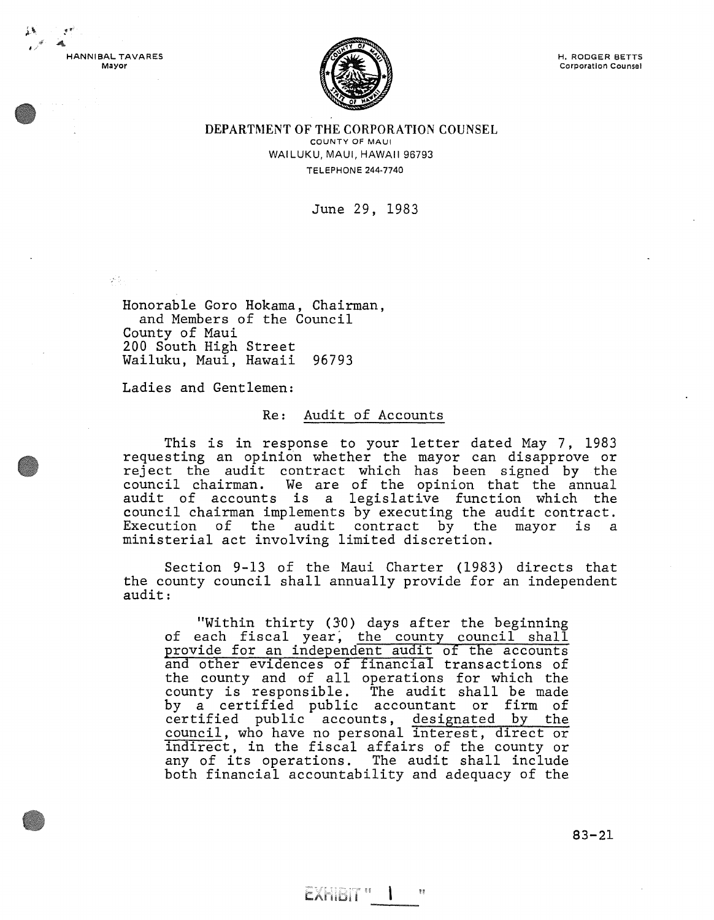

 $\frac{1}{2} \sum_{i=1}^n \frac{1}{2} \sum_{j=1}^n \frac{1}{2} \sum_{j=1}^n \frac{1}{2} \sum_{j=1}^n \frac{1}{2} \sum_{j=1}^n \frac{1}{2} \sum_{j=1}^n \frac{1}{2} \sum_{j=1}^n \frac{1}{2} \sum_{j=1}^n \frac{1}{2} \sum_{j=1}^n \frac{1}{2} \sum_{j=1}^n \frac{1}{2} \sum_{j=1}^n \frac{1}{2} \sum_{j=1}^n \frac{1}{2} \sum_{j=1}^n \frac{1}{2} \sum_{j=$ 



DEPARTMENT OF THE CORPORATION COUNSEL COUNTY OF MAUl WAILUKU, MAUl, HAWAII 96793 TELEPHONE 244-7740

June 29, 1983

Honorable Goro Hokama, Chairman, and Members of the Council County of Maui 200 South High Street Wailuku, Maui, Hawaii 96793

Ladies and Gentlemen:

### Re: Audit of Accounts

This is in response to your letter dated May 7, 1983 requesting an opinion whether the mayor can disapprove or reject the audit contract which has been signed by the council chairman. We are of the opinion that the annual audit of accounts is a legislative function which the council chairman implements by executing the audit contract. Execution of the audit contract by the mayor is a ministerial act involving limited discretion.

Section 9-13 of the Maui Charter (1983) directs that the county council shall annually provide for an independent audit:

"Within thirty (30) days after the beginning of each fiscal year, the county council shall provide for an independent audit of the accounts and other evidences of financial transactions of and other evidences of financial clansactions of<br>the county and of all operations for which the county is responsible. The audit shall be made by a certified public accountant or firm of certified public accounts, designated by the council, who have no personal interest, direct or indirect, in the fiscal affairs of the county or any of its operations. The audit shall include both financial accountability and adequacy of the

EXHIBIT " I

83-21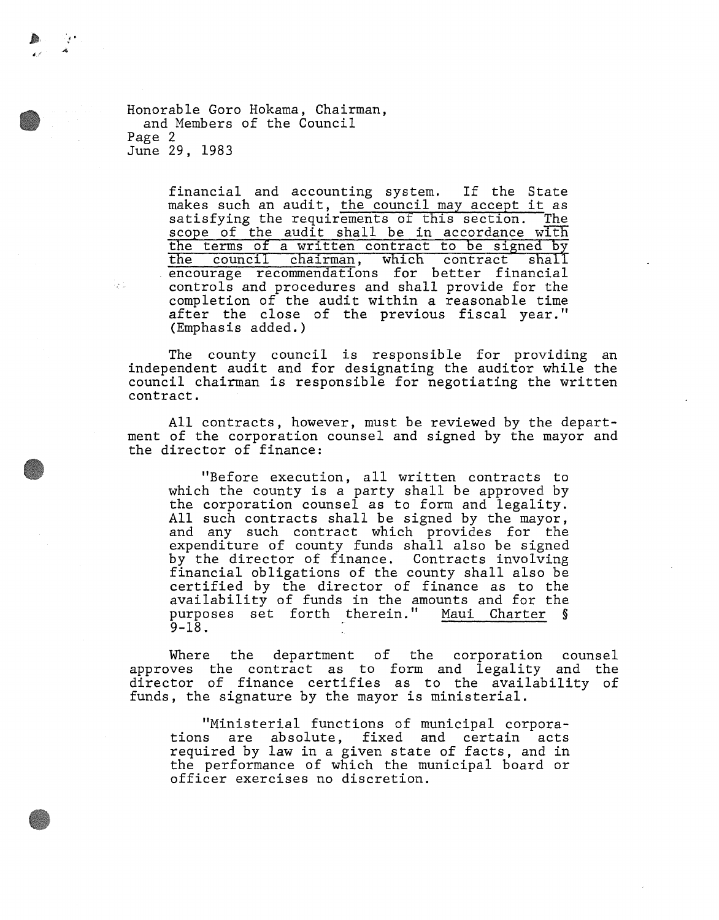Honorable Goro Hokama, Chairman, and Members of the Council Page 2 June 29, 1983

! '

ly 1

financial and accounting system. If the State makes such an audit, the council may accept it as<br>satisfying the requirements of this section. The satisfying the requirements of this section. scope of the audit shall be in accordance with the terms of a written contract to be signed by<br>the council chairman, which contract shall the council chairman, which contract encourage recommendations for better financial controls and procedures and shall provide for the completion of the audit within a reasonable time after the close of the previous fiscal year." (Emphasis added.)

The county council is responsible for providing an independent audit and for designating the auditor while the council chairman is responsible for negotiating the written contract.

All contracts, however, must be reviewed by the department of the corporation counsel and signed by the mayor and the director of finance:

"Before execution, all written contracts to which the county is a party shall be approved by the corporation counsel as to form and legality. All such contracts shall be signed by the mayor, and any such contract which provides for the expenditure of county funds shall also be signed by the director of finance. Contracts involving financial obligations of the county shall also be certified by the director of finance as to the availability of funds in the amounts and for the purposes set forth therein." Maui Charter § 9-18.

Where the department of the corporation counsel approves the contract as to form and legality and the director of finance certifies as to the availability of funds, the signature by the mayor is ministerial.

"Ministerial functions of municipal corporations are absolute, fixed and certain acts required by law in a given state of facts, and in the performance of which the municipal board or officer exercises no discretion.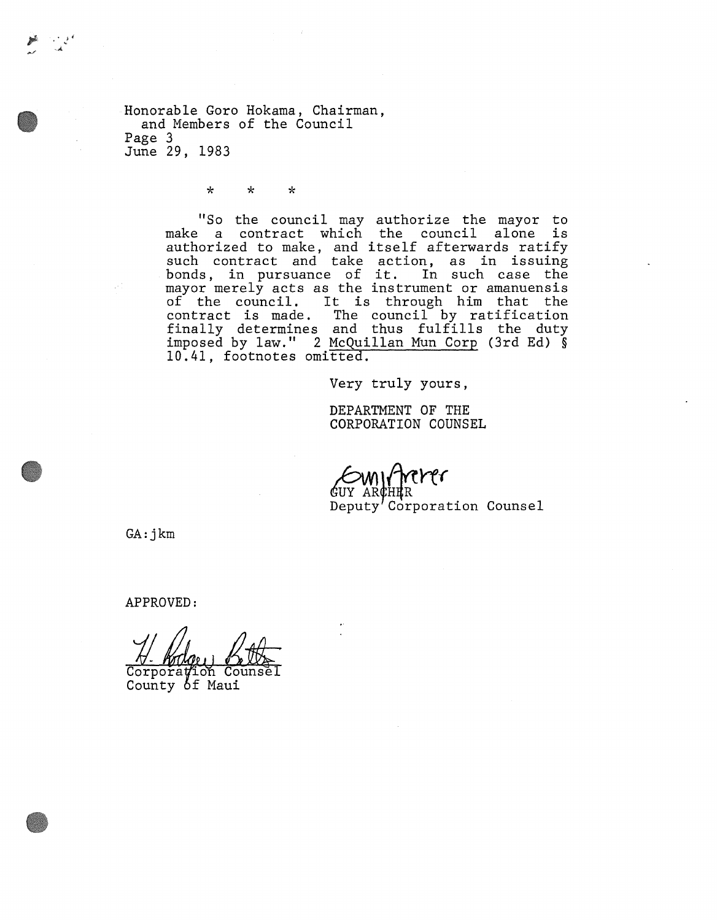Honorable Goro Hokama, Chairman, and Members of the Council Page 3 June 29, 1983

\* \* \*

"So the council may authorize the mayor to make a contract which the council alone is make a contract which the council arone is<br>authorized to make, and itself afterwards ratify such contract and take action, as in issuing such contract and take action, as in issuing<br>bonds, in pursuance of it. In such case the mayor merely acts as the instrument or amanuensis mayor merery acts as the instrument of amanuensis<br>of the council. It is through him that the contract is made. The council by ratification concract is made. The council by facilication<br>finally determines and thus fulfills the duty imposed by law." 2 McQuillan Mun Corp (3rd Ed) § 10.41, footnotes omitted.

Very truly yours,

DEPARTMENT OF THE CORPORATION COUNSEL

trerer GUY ARCHER Deputy' Corporation Counsel

GA:jkm

APPROVED:

 $Corpo$ ra $\sharp$ ion Couns County of Maui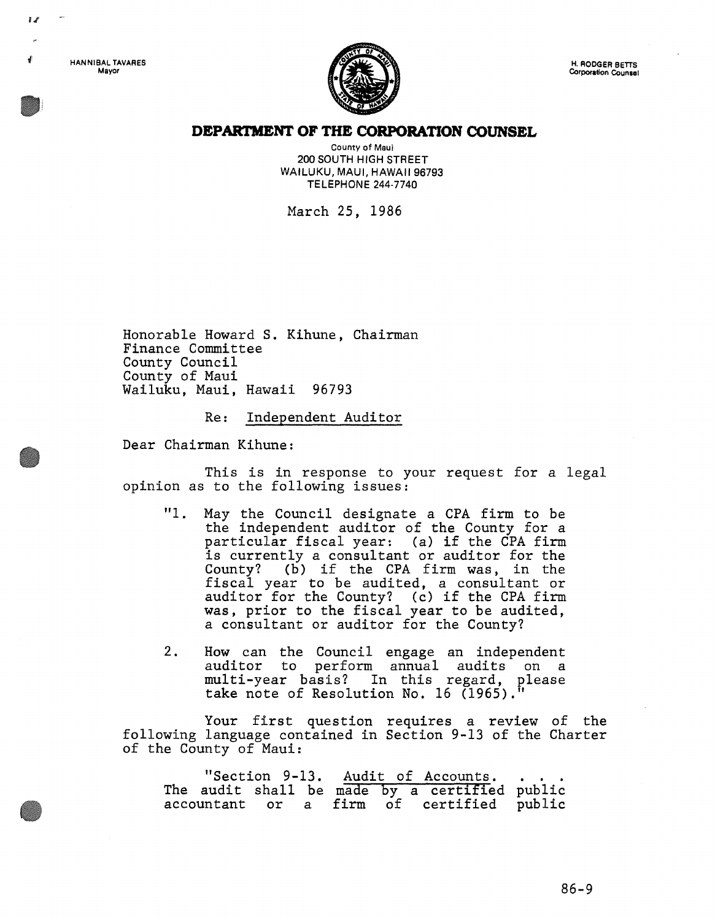HANNIBAL TAVARES Mayor

 $\mathbf{r}$ 



### **DEPARTMENT OF THE CORPORATION COUNSEL**

County of Maui 200 SOUTH HIGH STREET WAILUKU, MAUl, HAWAII 96793 TELEPHONE 244-7740

March 25, 1986

Honorable Howard S. Kihune, Chairman Finance Committee County Council County of Maui Wailuku, Maui, Hawaii 96793

Re: Independent Auditor

Dear Chairman Kihune:

This is in response to your request for a legal opinion as to the following issues:

- "1. May the Council designate a CPA firm to be the independent auditor of the County for a particular fiscal year: (a) if the CPA firm is currently a consultant or auditor for the County? (b) if the CPA firm was, in the fiscal year to be audited, a consultant or auditor for the County? (c) if the CPA firm was, prior to the fiscal year to be audited, a consultant or auditor for the County?
- 2. How can the Council engage an independent auditor to perform annual audits on a multi-year basis? In this regard, please take note of Resolution No. 16 (1965)."

Your first question requires a review of the following language contained in Section 9-13 of the Charter of the County of Maui:

|  |  |  | "Section 9-13. Audit of Accounts.             |  |
|--|--|--|-----------------------------------------------|--|
|  |  |  | The audit shall be made by a certified public |  |
|  |  |  | accountant or a firm of certified public      |  |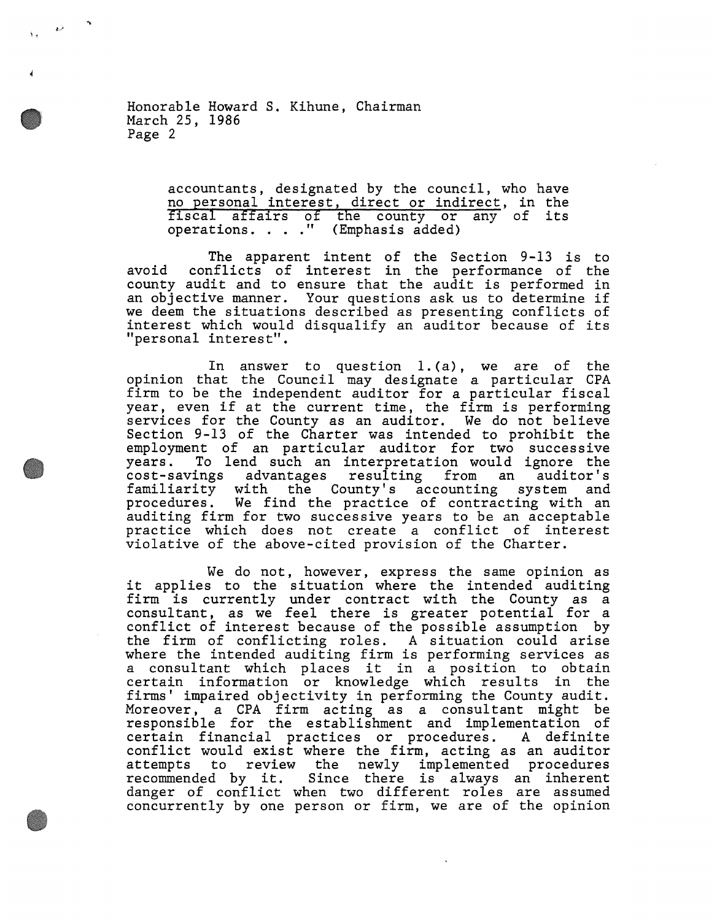Honorable Howard S. Kihune, Chairman March 25, 1986 Page 2

i.

 $\rightarrow$ 

accountants, designated by the council, who have no personal interest, direct or indirect, in the fiscal affairs of the county or any of its<br>operations...." (Emphasis added)

The apparent intent of the Section 9-13 is to avoid conflicts of interest in the performance of the county audit and to ensure that the audit is performed in an objective manner. Your questions ask us to determine if we deem the situations described as presenting conflicts of interest which would disqualify an auditor because of its "personal interest".

In answer to question 1.(a), we are of the opinion that the Council may designate a particular CPA firm to be the independent auditor for a particular fiscal year, even if at the current time, the firm is performing services for the County as an auditor. We do not believe Section 9-13 of the Charter was intended to prohibit the employment of an particular auditor for two successive years. To lend such an interpretation would ignore the cost-savings advantages resulting from an auditor's familiarity with the County's accounting system and procedures. We find the practice of contracting with an auditing firm for two successive years to be an acceptable practice which does not create a conflict of interest violative of the above-cited provision of the Charter.

We do not, however, express the same opinion as we do not, however, express the same opinion as<br>it applies to the situation where the intended auditing firm is currently under contract with the County as a consultant, as we feel there is greater potential for a conflict of interest because of the possible assumption by the firm of conflicting roles. A situation could arise where the intended auditing firm is performing services as a consultant which places it in a position to obtain certain information or knowledge which results in the firms' impaired objectivity in performing the County audit. Moreover, a CPA firm acting as a consultant might be responsible for the establishment and implementation of certain financial practices or procedures. A definite conflict would exist where the firm, acting as an auditor attempts to review the newly implemented procedures recommended by it. Since there is always an inherent danger of conflict when two different roles are assumed concurrently by one person or firm, we are of the opinion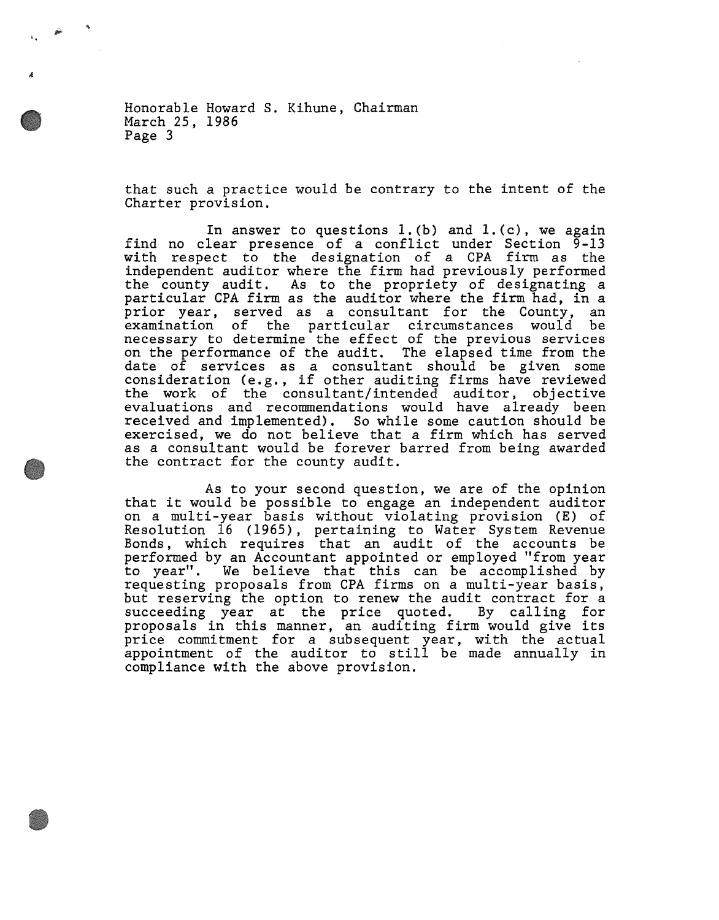Honorable Howard S. Kihune, Chairman March 25, 1986 Page 3

'.

that such a practice would be contrary to the intent of the Charter provision.

In answer to questions  $l.$  (b) and  $l.$  (c), we again find no clear presence of a conflict under Section  $\bar{9}$ -13 with respect to the designation of a CPA firm as the independent auditor where the firm had previously performed the county audit. As to the propriety of designating a particular CPA firm as the auditor where the firm had, in a prior year, served as a consultant for the County, an examination of the particular circumstances would be necessary to determine the effect of the previous services on the performance of the audit. The elapsed time from the date of services as a consultant should be given some date of services as a consultant should be given some<br>consideration (e.g., if other auditing firms have reviewed the work of the consultant/intended auditor, objective evaluations and recommendations would have already been received and implemented). So while some caution should be exercised, we do not believe that a firm which has served as a consultant would be forever barred from being awarded the contract for the county audit.

As to your second question, we are of the opinion that it would be possible to engage an independent auditor on a multi-year basis without violating provision (E) of Resolution 16 (1965), pertaining to Water System Revenue Bonds, which requires that an audit of the accounts be performed by an Accountant appointed or employed "from year to year". We believe that this can be accomplished by requesting proposals from CPA firms on a multi-year basis, but reserving the option to renew the audit contract for a succeeding year at the price quoted. By calling for proposals in this manner, an auditing firm would give its price commitment for a subsequent year, with the actual price commitment for a subsequent year, with the actual<br>appointment of the auditor to still be made annually in compliance with the above provision.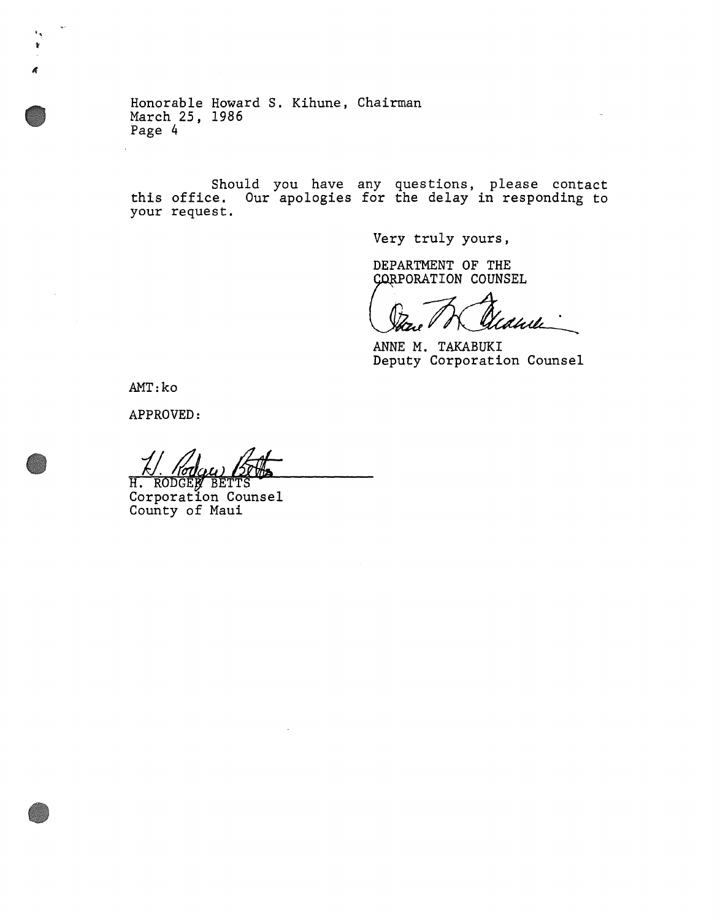Honorable Howard S. Kihune, Chairman March 25, 1986 Page 4

Should you have any questions, please contact this office. Our apologies for the delay in responding to your request.

Very truly yours,

DEPARTMENT OF THE CORPORATION COUNSEL

dhili

ANNE M. TAKABUKI Deputy Corporation Counsel

AMT:ko

 $\bar{\mathbf{v}}$ 

APPROVED:

H. RODGEN BETTS<br>Corporation Counsel County of Maui